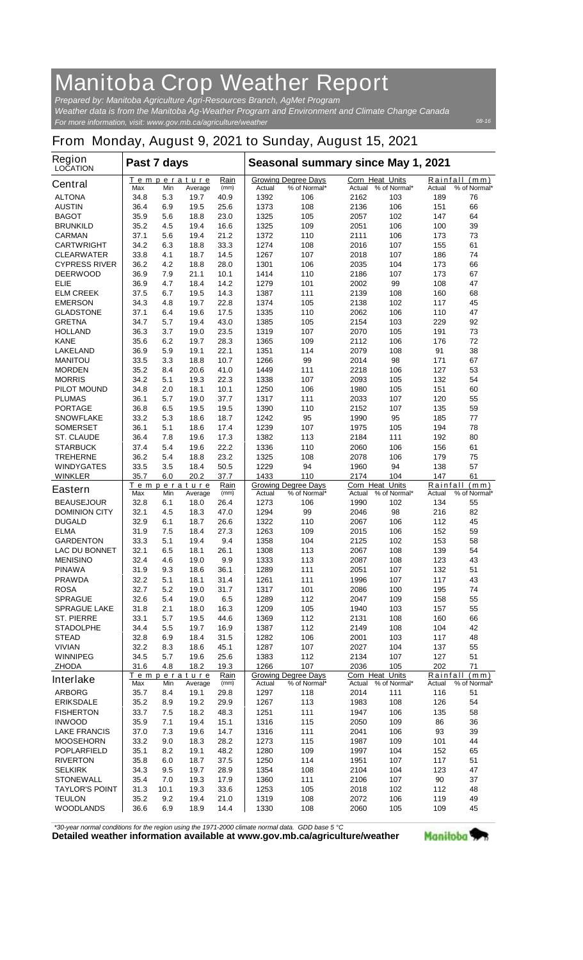## **Manitoba Crop Weather Report**

*For more information, visit: www.gov.mb.ca/agriculture/weather Prepared by: Manitoba Agriculture Agri-Resources Branch, AgMet Program Weather data is from the Manitoba Ag-Weather Program and Environment and Climate Change Canada*

## **From Monday, August 9, 2021 to Sunday, August 15, 2021**

| <b>Region</b><br><b>LOCATION</b>          | Past 7 days  |             |                               |              | Seasonal summary since May 1, 2021 |                                            |                                  |                     |                 |                               |
|-------------------------------------------|--------------|-------------|-------------------------------|--------------|------------------------------------|--------------------------------------------|----------------------------------|---------------------|-----------------|-------------------------------|
| <b>Central</b>                            | Max          | Min         | <u>Temperature</u><br>Average | Rain<br>(mm) | Actual                             | <b>Growing Degree Days</b><br>% of Normal* | <b>Corn Heat Units</b><br>Actual | % of Normal*        | Actual          | Rainfall (mm)<br>% of Normal* |
| <b>ALTONA</b>                             | 34.8         | 5.3         | 19.7                          | 40.9         | 1392                               | 106                                        | 2162                             | 103                 | 189             | 76                            |
| <b>AUSTIN</b>                             | 36.4         | 6.9         | 19.5                          | 25.6         | 1373                               | 108                                        | 2136                             | 106                 | 151             | 66                            |
| <b>BAGOT</b>                              | 35.9         | 5.6         | 18.8                          | 23.0         | 1325                               | 105                                        | 2057                             | 102                 | 147             | 64                            |
| <b>BRUNKILD</b>                           | 35.2         | 4.5         | 19.4                          | 16.6         | 1325                               | 109                                        | 2051                             | 106                 | 100             | 39                            |
| <b>CARMAN</b>                             | 37.1         | 5.6         | 19.4                          | 21.2         | 1372                               | 110                                        | 2111                             | 106                 | 173             | 73                            |
| <b>CARTWRIGHT</b>                         | 34.2         | 6.3         | 18.8                          | 33.3         | 1274                               | 108                                        | 2016                             | 107                 | 155             | 61                            |
| <b>CLEARWATER</b>                         | 33.8         | 4.1         | 18.7                          | 14.5         | 1267                               | 107                                        | 2018                             | 107                 | 186             | 74                            |
| <b>CYPRESS RIVER</b>                      | 36.2         | 4.2         | 18.8                          | 28.0         | 1301                               | 106                                        | 2035                             | 104                 | 173             | 66                            |
| <b>DEERWOOD</b><br><b>ELIE</b>            | 36.9<br>36.9 | 7.9<br>4.7  | 21.1<br>18.4                  | 10.1<br>14.2 | 1414<br>1279                       | 110<br>101                                 | 2186<br>2002                     | 107<br>99           | 173<br>108      | 67<br>47                      |
| <b>ELM CREEK</b>                          | 37.5         | 6.7         | 19.5                          | 14.3         | 1387                               | 111                                        | 2139                             | 108                 | 160             | 68                            |
| <b>EMERSON</b>                            | 34.3         | 4.8         | 19.7                          | 22.8         | 1374                               | 105                                        | 2138                             | 102                 | 117             | 45                            |
| <b>GLADSTONE</b>                          | 37.1         | 6.4         | 19.6                          | 17.5         | 1335                               | 110                                        | 2062                             | 106                 | 110             | 47                            |
| <b>GRETNA</b>                             | 34.7         | 5.7         | 19.4                          | 43.0         | 1385                               | 105                                        | 2154                             | 103                 | 229             | 92                            |
| <b>HOLLAND</b>                            | 36.3         | 3.7         | 19.0                          | 23.5         | 1319                               | 107                                        | 2070                             | 105                 | 191             | 73                            |
| <b>KANE</b>                               | 35.6         | 6.2         | 19.7                          | 28.3         | 1365                               | 109                                        | 2112                             | 106                 | 176             | 72                            |
| <b>LAKELAND</b>                           | 36.9         | 5.9         | 19.1                          | 22.1         | 1351                               | 114                                        | 2079                             | 108                 | 91              | 38                            |
| <b>MANITOU</b>                            | 33.5         | 3.3         | 18.8                          | 10.7         | 1266                               | 99                                         | 2014                             | 98                  | 171             | 67                            |
| <b>MORDEN</b>                             | 35.2         | 8.4         | 20.6                          | 41.0         | 1449                               | 111                                        | 2218                             | 106                 | 127             | 53                            |
| <b>MORRIS</b>                             | 34.2         | 5.1         | 19.3                          | 22.3         | 1338                               | 107                                        | 2093                             | 105                 | 132             | 54                            |
| <b>PILOT MOUND</b>                        | 34.8         | 2.0         | 18.1                          | 10.1         | 1250                               | 106                                        | 1980                             | 105                 | 151             | 60                            |
| <b>PLUMAS</b>                             | 36.1         | 5.7         | 19.0                          | 37.7         | 1317                               | 111                                        | 2033                             | 107                 | 120             | 55                            |
| <b>PORTAGE</b>                            | 36.8         | 6.5         | 19.5                          | 19.5         | 1390                               | 110                                        | 2152                             | 107                 | 135             | 59                            |
| <b>SNOWFLAKE</b>                          | 33.2         | 5.3         | 18.6                          | 18.7<br>17.4 | 1242                               | 95                                         | 1990                             | 95                  | 185             | 77<br>78                      |
| <b>SOMERSET</b><br><b>ST. CLAUDE</b>      | 36.1<br>36.4 | 5.1<br>7.8  | 18.6<br>19.6                  | 17.3         | 1239<br>1382                       | 107<br>113                                 | 1975<br>2184                     | 105<br>111          | 194<br>192      | 80                            |
| <b>STARBUCK</b>                           | 37.4         | 5.4         | 19.6                          | 22.2         | 1336                               | 110                                        | 2060                             | 106                 | 156             | 61                            |
| <b>TREHERNE</b>                           | 36.2         | 5.4         | 18.8                          | 23.2         | 1325                               | 108                                        | 2078                             | 106                 | 179             | 75                            |
| <b>WINDYGATES</b>                         | 33.5         | 3.5         | 18.4                          | 50.5         | 1229                               | 94                                         | 1960                             | 94                  | 138             | 57                            |
| <b>WINKLER</b>                            | 35.7         | 6.0         | 20.2                          | 37.7         | 1433                               | 110                                        | 2174                             | 104                 | 147             | 61                            |
|                                           |              |             | <u>Temperature</u>            | Rain         |                                    | <b>Growing Degree Days</b>                 | Corn Heat Units                  |                     | Rainfall        | (mm)                          |
| Eastern                                   | Max          | Min         | Average                       | (mm)         | Actual                             | % of Normal*                               | Actual                           | % of Normal*        | Actual          | % of Normal*                  |
| <b>BEAUSEJOUR</b>                         | 32.8         | 6.1         | 18.0                          | 26.4         | 1273                               | 106                                        | 1990                             | 102                 | 134             | 55                            |
| <b>DOMINION CITY</b>                      | 32.1         | 4.5         | 18.3                          | 47.0         | 1294                               | 99                                         | 2046                             | 98                  | 216             | 82                            |
| <b>DUGALD</b>                             | 32.9         | 6.1         | 18.7                          | 26.6         | 1322                               | 110                                        | 2067                             | 106                 | 112             | 45                            |
| <b>ELMA</b><br><b>GARDENTON</b>           | 31.9<br>33.3 | 7.5<br>5.1  | 18.4<br>19.4                  | 27.3<br>9.4  | 1263<br>1358                       | 109<br>104                                 | 2015<br>2125                     | 106<br>102          | 152<br>153      | 59<br>58                      |
| <b>LAC DU BONNET</b>                      | 32.1         | 6.5         | 18.1                          | 26.1         | 1308                               | 113                                        | 2067                             | 108                 | 139             | 54                            |
| <b>MENISINO</b>                           | 32.4         | 4.6         | 19.0                          | 9.9          | 1333                               | 113                                        | 2087                             | 108                 | 123             | 43                            |
| <b>PINAWA</b>                             | 31.9         | 9.3         | 18.6                          | 36.1         | 1289                               | 111                                        | 2051                             | 107                 | 132             | 51                            |
| <b>PRAWDA</b>                             | 32.2         | 5.1         | 18.1                          | 31.4         | 1261                               | 111                                        | 1996                             | 107                 | 117             | 43                            |
| <b>ROSA</b>                               | 32.7         | 5.2         | 19.0                          | 31.7         | 1317                               | 101                                        | 2086                             | 100                 | 195             | 74                            |
| <b>SPRAGUE</b>                            | 32.6         | 5.4         | 19.0                          | 6.5          | 1289                               | 112                                        | 2047                             | 109                 | 158             | 55                            |
| <b>SPRAGUE LAKE</b>                       | 31.8         | 2.1         | 18.0                          | 16.3         | 1209                               | 105                                        | 1940                             | 103                 | 157             | 55                            |
| <b>ST. PIERRE</b>                         | 33.1         | 5.7         | 19.5                          | 44.6         | 1369                               | 112                                        | 2131                             | 108                 | 160             | 66                            |
| <b>STADOLPHE</b>                          | 34.4         | 5.5         | 19.7                          | 16.9         | 1387                               | 112                                        | 2149                             | 108                 | 104             | 42                            |
| <b>STEAD</b>                              | 32.8         | 6.9         | 18.4                          | 31.5         | 1282                               | 106                                        | 2001                             | 103                 | 117             | 48                            |
| <b>VIVIAN</b>                             | 32.2         | 8.3         | 18.6                          | 45.1         | 1287                               | 107                                        | 2027                             | 104                 | 137             | 55                            |
| <b>WINNIPEG</b>                           | 34.5         | 5.7         | 19.6                          | 25.6         | 1383                               | 112                                        | 2134                             | 107                 | 127             | 51                            |
| <b>ZHODA</b>                              | 31.6         | 4.8         | 18.2<br>Temperature           | 19.3<br>Rain | 1266                               | 107<br><b>Growing Degree Days</b>          | 2036<br>Corn Heat Units          | 105                 | 202<br>Rainfall | 71<br>(mm)                    |
| <b>Interlake</b>                          | Max          | Min         | Average                       | (mm)         | Actual                             | % of Normal*                               |                                  | Actual % of Normal* | Actual          | % of Normal*                  |
| <b>ARBORG</b>                             | 35.7         | 8.4         | 19.1                          | 29.8         | 1297                               | 118                                        | 2014                             | 111                 | 116             | 51                            |
| <b>ERIKSDALE</b>                          | 35.2         | 8.9         | 19.2                          | 29.9         | 1267                               | 113                                        | 1983                             | 108                 | 126             | 54                            |
| <b>FISHERTON</b>                          | 33.7         | 7.5         | 18.2                          | 48.3         | 1251                               | 111                                        | 1947                             | 106                 | 135             | 58                            |
| <b>INWOOD</b>                             | 35.9         | 7.1         | 19.4                          | 15.1         | 1316                               | 115                                        | 2050                             | 109                 | 86              | 36                            |
| <b>LAKE FRANCIS</b>                       | 37.0         | 7.3         | 19.6                          | 14.7         | 1316                               | 111                                        | 2041                             | 106                 | 93              | 39                            |
| <b>MOOSEHORN</b>                          | 33.2         | 9.0         | 18.3                          | 28.2         | 1273                               | 115                                        | 1987                             | 109                 | 101             | 44                            |
| <b>POPLARFIELD</b>                        | 35.1         | 8.2         | 19.1                          | 48.2         | 1280                               | 109                                        | 1997                             | 104                 | 152             | 65                            |
| <b>RIVERTON</b>                           | 35.8         | 6.0         | 18.7                          | 37.5         | 1250                               | 114                                        | 1951                             | 107                 | 117             | 51                            |
| <b>SELKIRK</b>                            | 34.3         | 9.5         | 19.7                          | 28.9         | 1354                               | 108                                        | 2104                             | 104                 | 123             | 47                            |
| <b>STONEWALL</b><br><b>TAYLOR'S POINT</b> | 35.4<br>31.3 | 7.0<br>10.1 | 19.3<br>19.3                  | 17.9<br>33.6 | 1360<br>1253                       | 111<br>105                                 | 2106<br>2018                     | 107<br>102          | 90<br>112       | 37<br>48                      |
| <b>TEULON</b>                             | 35.2         | 9.2         | 19.4                          | 21.0         | 1319                               | 108                                        | 2072                             | 106                 | 119             | 49                            |
| <b>WOODLANDS</b>                          | 36.6         | 6.9         | 18.9                          | 14.4         | 1330                               | 108                                        | 2060                             | 105                 | 109             | 45                            |
|                                           |              |             |                               |              |                                    |                                            |                                  |                     |                 |                               |

*\*30-year normal conditions for the region using the 1971-2000 climate normal data. GDD base 5 °C*<br>Detailed weather information available at www.gov.mb.ca/agriculture/weather